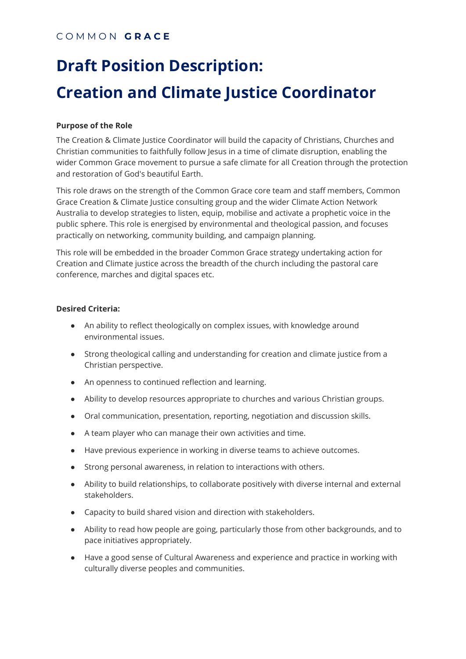# **Draft Position Description: Creation and Climate Justice Coordinator**

### **Purpose of the Role**

The Creation & Climate Justice Coordinator will build the capacity of Christians, Churches and Christian communities to faithfully follow Jesus in a time of climate disruption, enabling the wider Common Grace movement to pursue a safe climate for all Creation through the protection and restoration of God's beautiful Earth.

This role draws on the strength of the Common Grace core team and staff members, Common Grace Creation & Climate Justice consulting group and the wider Climate Action Network Australia to develop strategies to listen, equip, mobilise and activate a prophetic voice in the public sphere. This role is energised by environmental and theological passion, and focuses practically on networking, community building, and campaign planning.

This role will be embedded in the broader Common Grace strategy undertaking action for Creation and Climate justice across the breadth of the church including the pastoral care conference, marches and digital spaces etc.

#### **Desired Criteria:**

- An ability to reflect theologically on complex issues, with knowledge around environmental issues.
- Strong theological calling and understanding for creation and climate justice from a Christian perspective.
- An openness to continued reflection and learning.
- Ability to develop resources appropriate to churches and various Christian groups.
- Oral communication, presentation, reporting, negotiation and discussion skills.
- A team player who can manage their own activities and time.
- Have previous experience in working in diverse teams to achieve outcomes.
- Strong personal awareness, in relation to interactions with others.
- Ability to build relationships, to collaborate positively with diverse internal and external stakeholders.
- Capacity to build shared vision and direction with stakeholders.
- Ability to read how people are going, particularly those from other backgrounds, and to pace initiatives appropriately.
- Have a good sense of Cultural Awareness and experience and practice in working with culturally diverse peoples and communities.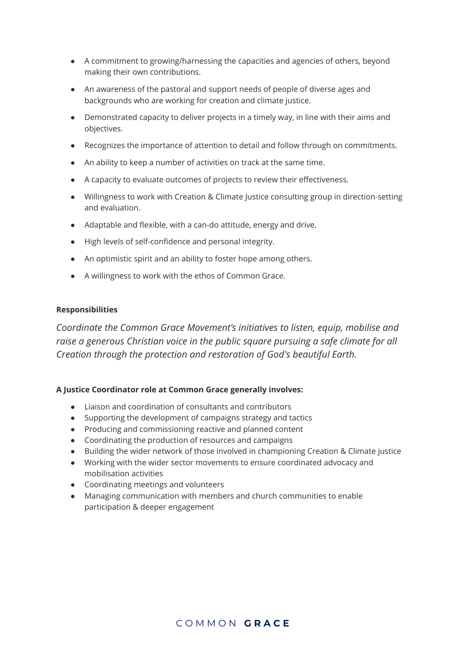- A commitment to growing/harnessing the capacities and agencies of others, beyond making their own contributions.
- An awareness of the pastoral and support needs of people of diverse ages and backgrounds who are working for creation and climate justice.
- Demonstrated capacity to deliver projects in a timely way, in line with their aims and objectives.
- Recognizes the importance of attention to detail and follow through on commitments.
- An ability to keep a number of activities on track at the same time.
- A capacity to evaluate outcomes of projects to review their effectiveness.
- Willingness to work with Creation & Climate Justice consulting group in direction-setting and evaluation.
- Adaptable and flexible, with a can-do attitude, energy and drive.
- High levels of self-confidence and personal integrity.
- An optimistic spirit and an ability to foster hope among others.
- A willingness to work with the ethos of Common Grace.

#### **Responsibilities**

*Coordinate the Common Grace Movement's initiatives to listen, equip, mobilise and raise a generous Christian voice in the public square pursuing a safe climate for all Creation through the protection and restoration of God's beautiful Earth.*

#### **A Justice Coordinator role at Common Grace generally involves:**

- Liaison and coordination of consultants and contributors
- Supporting the development of campaigns strategy and tactics
- Producing and commissioning reactive and planned content
- Coordinating the production of resources and campaigns
- Building the wider network of those involved in championing Creation & Climate justice
- Working with the wider sector movements to ensure coordinated advocacy and mobilisation activities
- Coordinating meetings and volunteers
- Managing communication with members and church communities to enable participation & deeper engagement

## C O M M O N **G R A C E**